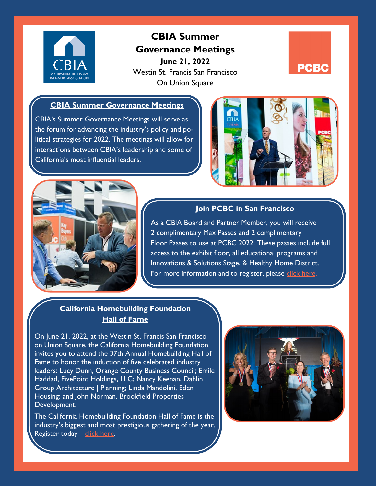

# **CBIA Summer Governance Meetings June 21, 2022**

Westin St. Francis San Francisco On Union Square



### **CBIA Summer Governance Meetings**

CBIA's Summer Governance Meetings will serve as the forum for advancing the industry's policy and political strategies for 2022. The meetings will allow for interactions between CBIA's leadership and some of California's most influential leaders.





## **Join PCBC in San Francisco**

As a CBIA Board and Partner Member, you will receive 2 complimentary Max Passes and 2 complimentary Floor Passes to use at PCBC 2022. These passes include full access to the exhibit floor, all educational programs and Innovations & Solutions Stage, & Healthy Home District. For more information and to register, please [click here.](https://na.eventscloud.com/ereg/index.php?eventid=650864&categoryid=4354667)

# **California Homebuilding Foundation Hall of Fame**

On June 21, 2022, at the Westin St. Francis San Francisco on Union Square, the California Homebuilding Foundation invites you to attend the 37th Annual Homebuilding Hall of Fame to honor the induction of five celebrated industry leaders: Lucy Dunn, Orange County Business Council; Emile Haddad, FivePoint Holdings, LLC; Nancy Keenan, Dahlin Group Architecture | Planning; Linda Mandolini, Eden Housing; and John Norman, Brookfield Properties Development.

The California Homebuilding Foundation Hall of Fame is the industry's biggest and most prestigious gathering of the year. Register today—[click here.](https://www.mychf.org/)